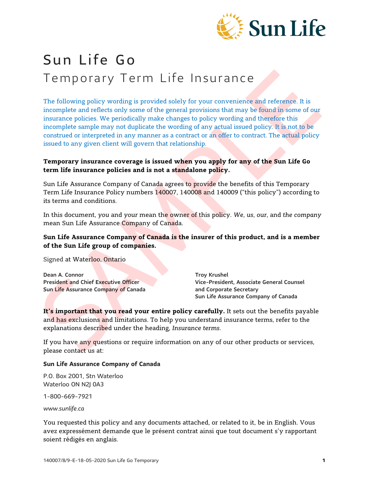

# Sun Life Go Temporary Term Life Insurance

The following policy wording is provided solely for your convenience and reference. It is incomplete and reflects only some of the general provisions that may be found in some of our insurance policies. We periodically make changes to policy wording and therefore this incomplete sample may not duplicate the wording of any actual issued policy. It is not to be construed or interpreted in any manner as a contract or an offer to contract. The actual policy issued to any given client will govern that relationship.

## **Temporary insurance coverage is issued when you apply for any of the Sun Life Go term life insurance policies and is not a standalone policy.**

Sun Life Assurance Company of Canada agrees to provide the benefits of this Temporary Term Life Insurance Policy numbers 140007, 140008 and 140009 ("this policy") according to its terms and conditions.

In this document, *you* and *your* mean the owner of this policy. *We*, *us*, *our*, and *the company* mean Sun Life Assurance Company of Canada.

#### **Sun Life Assurance Company of Canada is the insurer of this product, and is a member of the Sun Life group of companies.**

Signed at Waterloo, Ontario

Dean A. Connor Troy Krushel Sun Life Assurance Company of Canada and Corporate Secretary

President and Chief Executive Officer Vice-President, Associate General Counsel Sun Life Assurance Company of Canada

**It's important that you read your entire policy carefully.** It sets out the benefits payable and has exclusions and limitations. To help you understand insurance terms, refer to the explanations described under the heading, *Insurance terms*.

If you have any questions or require information on any of our other products or services, please contact us at:

#### **Sun Life Assurance Company of Canada**

P.O. Box 2001, Stn Waterloo Waterloo ON N2J 0A3

1-800-669-7921

*[www.sunlife.ca](http://www.sunlife.ca/)*

You requested this policy and any documents attached, or related to it, be in English. Vous avez expressément demande que le présent contrat ainsi que tout document s'y rapportant soient rédigés en anglais.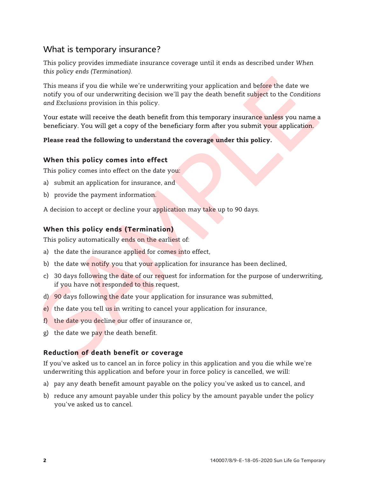# What is temporary insurance?

This policy provides immediate insurance coverage until it ends as described under *When this policy ends (Termination)*.

This means if you die while we're underwriting your application and before the date we notify you of our underwriting decision we'll pay the death benefit subject to the *Conditions and Exclusions* provision in this policy.

Your estate will receive the death benefit from this temporary insurance unless you name a beneficiary. You will get a copy of the beneficiary form after you submit your application.

#### **Please read the following to understand the coverage under this policy.**

#### **When this policy comes into effect**

This policy comes into effect on the date you:

- a) submit an application for insurance, and
- b) provide the payment information.

A decision to accept or decline your application may take up to 90 days.

# **When this policy ends (Termination)**

This policy automatically ends on the earliest of:

- a) the date the insurance applied for comes into effect,
- b) the date we notify you that your application for insurance has been declined,
- c) 30 days following the date of our request for information for the purpose of underwriting, if you have not responded to this request,
- d) 90 days following the date your application for insurance was submitted,
- e) the date you tell us in writing to cancel your application for insurance,
- f) the date you decline our offer of insurance or,
- g) the date we pay the death benefit.

# **Reduction of death benefit or coverage**

If you've asked us to cancel an in force policy in this application and you die while we're underwriting this application and before your in force policy is cancelled, we will:

- a) pay any death benefit amount payable on the policy you've asked us to cancel, and
- b) reduce any amount payable under this policy by the amount payable under the policy you've asked us to cancel.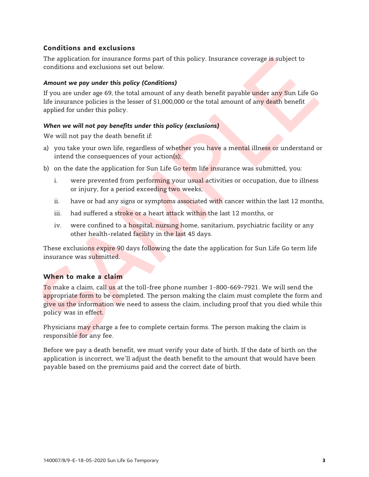# **Conditions and exclusions**

The application for insurance forms part of this policy. Insurance coverage is subject to conditions and exclusions set out below.

#### *Amount we pay under this policy (Conditions)*

If you are under age 69, the total amount of any death benefit payable under any Sun Life Go life insurance policies is the lesser of \$1,000,000 or the total amount of any death benefit applied for under this policy.

#### *When we will not pay benefits under this policy (exclusions)*

We will not pay the death benefit if:

- a) you take your own life, regardless of whether you have a mental illness or understand or intend the consequences of your action(s);
- b) on the date the application for Sun Life Go term life insurance was submitted, you:
	- i. were prevented from performing your usual activities or occupation, due to illness or injury, for a period exceeding two weeks,
	- ii. have or had any signs or symptoms associated with cancer within the last 12 months,
	- iii. had suffered a stroke or a heart attack within the last 12 months, or
	- iv. were confined to a hospital, nursing home, sanitarium, psychiatric facility or any other health-related facility in the last 45 days.

These exclusions expire 90 days following the date the application for Sun Life Go term life insurance was submitted.

#### **When to make a claim**

To make a claim, call us at the toll-free phone number 1-800-669-7921. We will send the appropriate form to be completed. The person making the claim must complete the form and give us the information we need to assess the claim, including proof that you died while this policy was in effect.

Physicians may charge a fee to complete certain forms. The person making the claim is responsible for any fee.

Before we pay a death benefit, we must verify your date of birth. If the date of birth on the application is incorrect, we'll adjust the death benefit to the amount that would have been payable based on the premiums paid and the correct date of birth.